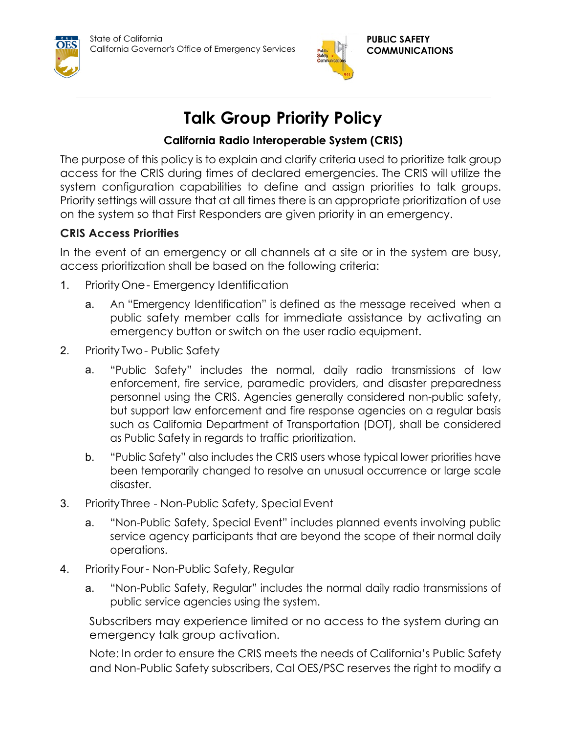



**PUBLIC SAFETY COMMUNICATIONS**

## **Talk Group Priority Policy**

## **California Radio Interoperable System (CRIS)**

The purpose of this policy is to explain and clarify criteria used to prioritize talk group access for the CRIS during times of declared emergencies. The CRIS will utilize the system configuration capabilities to define and assign priorities to talk groups. Priority settings will assure that at all times there is an appropriate prioritization of use on the system so that First Responders are given priority in an emergency.

## **CRIS Access Priorities**

In the event of an emergency or all channels at a site or in the system are busy, access prioritization shall be based on the following criteria:

- 1. PriorityOne- Emergency Identification
	- a. An "Emergency Identification" is defined as the message received when a public safety member calls for immediate assistance by activating an emergency button or switch on the user radio equipment.
- 2. Priority Two- Public Safety
	- a. "Public Safety" includes the normal, daily radio transmissions of law enforcement, fire service, paramedic providers, and disaster preparedness personnel using the CRIS. Agencies generally considered non-public safety, but support law enforcement and fire response agencies on a regular basis such as California Department of Transportation (DOT), shall be considered as Public Safety in regards to traffic prioritization.
	- b. "Public Safety" also includes the CRIS users whose typical lower priorities have been temporarily changed to resolve an unusual occurrence or large scale disaster.
- 3. PriorityThree Non-Public Safety, Special Event
	- a. "Non-Public Safety, Special Event" includes planned events involving public service agency participants that are beyond the scope of their normal daily operations.
- 4. Priority Four- Non-Public Safety, Regular
	- a. "Non-Public Safety, Regular" includes the normal daily radio transmissions of public service agencies using the system.

Subscribers may experience limited or no access to the system during an emergency talk group activation.

Note: In order to ensure the CRIS meets the needs of California's Public Safety and Non-Public Safety subscribers, Cal OES/PSC reserves the right to modify a